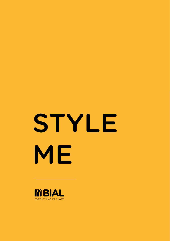# STYLE ME

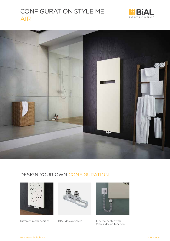# CONFIGURATION STYLE ME AIR







Different mask designs BIAL design valves





Electric heater with 2 hour drying function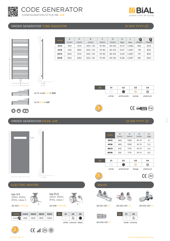



### ORDER GENERATOR TUBE RADIATOR 31 XXX YYYY ZZ





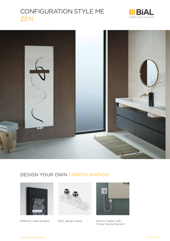# CONFIGURATION STYLE ME ZEN







Different mask designs BIAL design valves





Electric heater with 2 hour drying function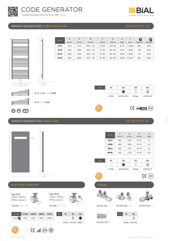







ELECTRIC HEATER **VALVE** 

 $-A \longrightarrow W \longrightarrow D$ 

typ ILS 230V, 50Hz, IPX5, class II

 $\frac{1}{2}$ 

26 005 YYYY ZZ 26 006 YYYY ZZ

| typ ELS                      |
|------------------------------|
| 230V, 50Hz,<br>IPX5, class I |

| YYYY 0400 0600 0800 1000 |  |  | 77 <sup>1</sup> | 01 | 05 |  |
|--------------------------|--|--|-----------------|----|----|--|
| $Watt$ 400 600 800 1000  |  |  |                 |    |    |  |
|                          |  |  |                 | .  |    |  |

 $ZZ$  01 05 06

white chrome black







28 001 001 ZZ

28 002 001 ZZ 28 005 001 ZZ



 $ZZ$  01 05  $\overline{a_{\sigma}}$ 

white chrome

 $\circledast$  ( $\circledast$   $\mathbb{I}$ llı,  $\circledast$ 

STYLE ME 2.2

**<sup>G</sup>UARANTE<sup>E</sup>**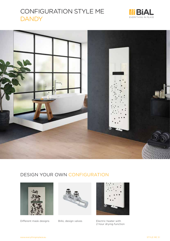# CONFIGURATION STYLE ME **DANDY**







Different mask designs BIAL design valves





Electric heater with 2 hour drying function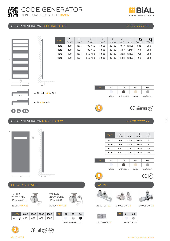

**EVERYTHING IN PLACE** 





26 005 YYYY ZZ 26 006 YYYY ZZ typ ELS 230V, 50Hz, IPX5, class I



|  | YYYY 0400 0600 0800 1000                                                  |  | -77 | O <sub>1</sub> |  |
|--|---------------------------------------------------------------------------|--|-----|----------------|--|
|  | $\textsf{Watt} \mathbf{Q} \vert$ 400 $\vert$ 600 $\vert$ 800 $\vert$ 1000 |  |     |                |  |
|  |                                                                           |  |     |                |  |

| Ο1 | 05                 | 06 |  |  |
|----|--------------------|----|--|--|
|    |                    |    |  |  |
|    | white chrome black |    |  |  |





28 001 001 ZZ

28 002 001 ZZ 28 005 001 ZZ





28 006 001 ZZ

white chrome



Watt $\mathbf Q$ 

typ ILS 230V, 50Hz, IPX5, class II

 $-A \longrightarrow W \longrightarrow D$ 

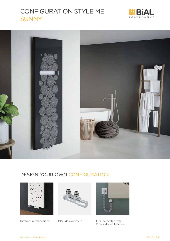# CONFIGURATION STYLE ME SUNNY







Different mask designs BIAL design valves





Electric heater with 2 hour drying function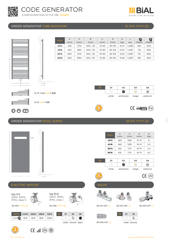

H





B 50





EVERYTHING IN PLACE

ALTA XXX= 021

### ORDER GENERATOR MASK: SUNNY 33 017 YYYY ZZ





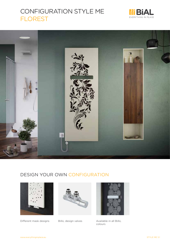# CONFIGURATION STYLE ME FLOREST







Different mask designs BIAL design valves





Available in all BIAL colours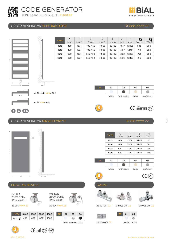









STYLE ME 5.2

**<sup>G</sup>UARANTE<sup>E</sup>**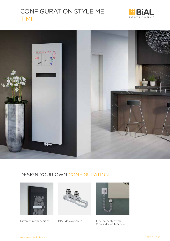# CONFIGURATION STYLE ME TIME







Different mask designs BIAL design valves





Electric heater with 2 hour drying function